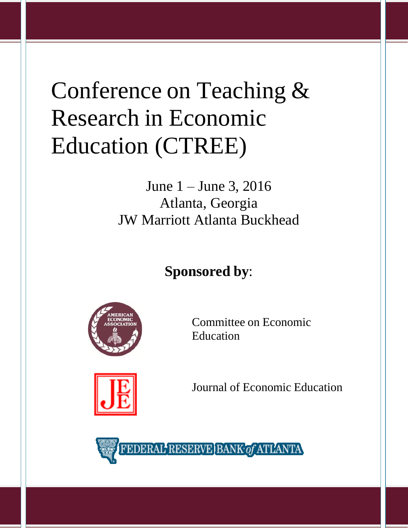# Conference on Teaching & Research in Economic Education (CTREE)

June 1 – June 3, 2016 Atlanta, Georgia JW Marriott Atlanta Buckhead

## **Sponsored by**:





Committee on Economic Education

Journal of Economic Education

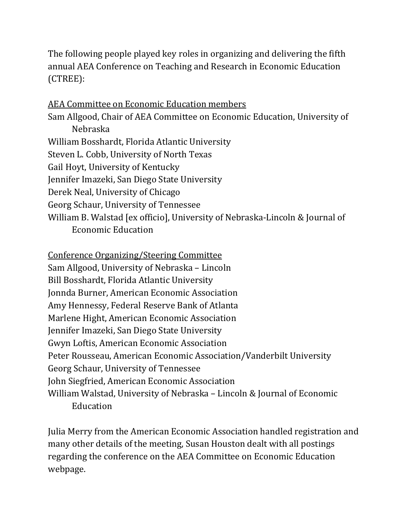The following people played key roles in organizing and delivering the fifth annual AEA Conference on Teaching and Research in Economic Education (CTREE):

### AEA Committee on Economic Education members Sam Allgood, Chair of AEA Committee on Economic Education, University of Nebraska William Bosshardt, Florida Atlantic University Steven L. Cobb, University of North Texas Gail Hoyt, University of Kentucky Jennifer Imazeki, San Diego State University Derek Neal, University of Chicago Georg Schaur, University of Tennessee William B. Walstad [ex officio], University of Nebraska-Lincoln & Journal of Economic Education

### Conference Organizing/Steering Committee

Sam Allgood, University of Nebraska – Lincoln Bill Bosshardt, Florida Atlantic University Jonnda Burner, American Economic Association Amy Hennessy, Federal Reserve Bank of Atlanta Marlene Hight, American Economic Association Jennifer Imazeki, San Diego State University Gwyn Loftis, American Economic Association Peter Rousseau, American Economic Association/Vanderbilt University Georg Schaur, University of Tennessee John Siegfried, American Economic Association William Walstad, University of Nebraska – Lincoln & Journal of Economic **Education** 

Julia Merry from the American Economic Association handled registration and many other details of the meeting, Susan Houston dealt with all postings regarding the conference on the AEA Committee on Economic Education webpage.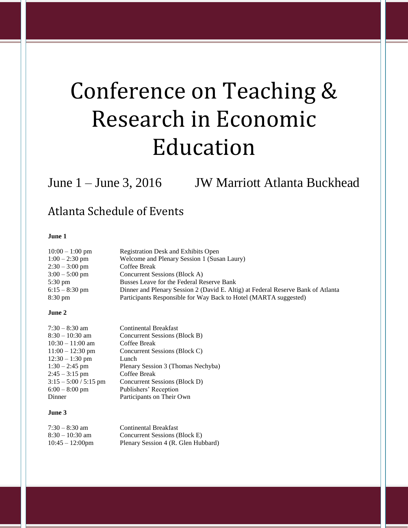# Conference on Teaching & Research in Economic Education

June 1 – June 3, 2016 JW Marriott Atlanta Buckhead

## Atlanta Schedule of Events

#### **June 1**

| $10:00 - 1:00$ pm | <b>Registration Desk and Exhibits Open</b>                                       |
|-------------------|----------------------------------------------------------------------------------|
| $1:00 - 2:30$ pm  | Welcome and Plenary Session 1 (Susan Laury)                                      |
| $2:30 - 3:00$ pm  | Coffee Break                                                                     |
| $3:00 - 5:00$ pm  | Concurrent Sessions (Block A)                                                    |
| $5:30 \text{ pm}$ | Busses Leave for the Federal Reserve Bank                                        |
| $6:15 - 8:30$ pm  | Dinner and Plenary Session 2 (David E. Altig) at Federal Reserve Bank of Atlanta |
| $8:30 \text{ pm}$ | Participants Responsible for Way Back to Hotel (MARTA suggested)                 |

#### **June 2**

| $7:30 - 8:30$ am        | <b>Continental Breakfast</b>       |
|-------------------------|------------------------------------|
| $8:30 - 10:30$ am       | Concurrent Sessions (Block B)      |
| $10:30 - 11:00$ am      | Coffee Break                       |
| $11:00 - 12:30$ pm      | Concurrent Sessions (Block C)      |
| $12:30 - 1:30$ pm       | Lunch                              |
| $1:30 - 2:45$ pm        | Plenary Session 3 (Thomas Nechyba) |
| $2:45 - 3:15$ pm        | Coffee Break                       |
| $3:15 - 5:00 / 5:15$ pm | Concurrent Sessions (Block D)      |
| $6:00 - 8:00$ pm        | Publishers' Reception              |
| Dinner                  | Participants on Their Own          |

#### **June 3**

| $7:30 - 8:30$ am   | <b>Continental Breakfast</b>        |
|--------------------|-------------------------------------|
| $8:30 - 10:30$ am  | Concurrent Sessions (Block E)       |
| $10:45 - 12:00$ pm | Plenary Session 4 (R. Glen Hubbard) |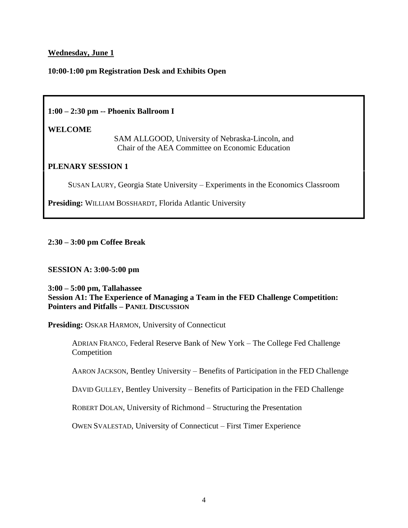#### **Wednesday, June 1**

#### **10:00-1:00 pm Registration Desk and Exhibits Open**

#### **1:00 – 2:30 pm -- Phoenix Ballroom I**

#### **WELCOME**

SAM ALLGOOD, University of Nebraska-Lincoln, and Chair of the AEA Committee on Economic Education

#### **PLENARY SESSION 1**

SUSAN LAURY, Georgia State University – Experiments in the Economics Classroom

**Presiding:** WILLIAM BOSSHARDT, Florida Atlantic University

#### **2:30 – 3:00 pm Coffee Break**

#### **SESSION A: 3:00-5:00 pm**

**3:00 – 5:00 pm, Tallahassee Session A1: The Experience of Managing a Team in the FED Challenge Competition: Pointers and Pitfalls – PANEL DISCUSSION**

**Presiding:** OSKAR HARMON, University of Connecticut

ADRIAN FRANCO, Federal Reserve Bank of New York – The College Fed Challenge Competition

AARON JACKSON, Bentley University – Benefits of Participation in the FED Challenge

DAVID GULLEY, Bentley University – Benefits of Participation in the FED Challenge

ROBERT DOLAN, University of Richmond – Structuring the Presentation

OWEN SVALESTAD, University of Connecticut – First Timer Experience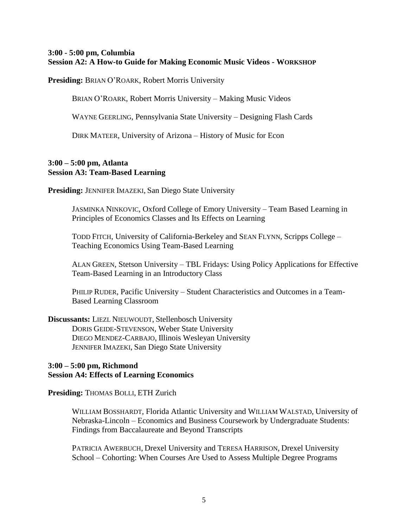#### **3:00 - 5:00 pm, Columbia Session A2: A How-to Guide for Making Economic Music Videos - WORKSHOP**

**Presiding:** BRIAN O'ROARK, Robert Morris University

BRIAN O'ROARK, Robert Morris University – Making Music Videos

WAYNE GEERLING, Pennsylvania State University – Designing Flash Cards

DIRK MATEER, University of Arizona – History of Music for Econ

#### **3:00 – 5:00 pm, Atlanta Session A3: Team-Based Learning**

**Presiding:** JENNIFER IMAZEKI, San Diego State University

JASMINKA NINKOVIC, Oxford College of Emory University – Team Based Learning in Principles of Economics Classes and Its Effects on Learning

TODD FITCH, University of California-Berkeley and SEAN FLYNN, Scripps College – Teaching Economics Using Team-Based Learning

ALAN GREEN, Stetson University – TBL Fridays: Using Policy Applications for Effective Team-Based Learning in an Introductory Class

PHILIP RUDER, Pacific University – Student Characteristics and Outcomes in a Team-Based Learning Classroom

**Discussants:** LIEZL NIEUWOUDT, Stellenbosch University DORIS GEIDE-STEVENSON, Weber State University DIEGO MENDEZ-CARBAJO, Illinois Wesleyan University JENNIFER IMAZEKI, San Diego State University

#### **3:00 – 5:00 pm, Richmond Session A4: Effects of Learning Economics**

**Presiding:** THOMAS BOLLI, ETH Zurich

WILLIAM BOSSHARDT, Florida Atlantic University and WILLIAM WALSTAD, University of Nebraska-Lincoln – Economics and Business Coursework by Undergraduate Students: Findings from Baccalaureate and Beyond Transcripts

PATRICIA AWERBUCH, Drexel University and TERESA HARRISON, Drexel University School – Cohorting: When Courses Are Used to Assess Multiple Degree Programs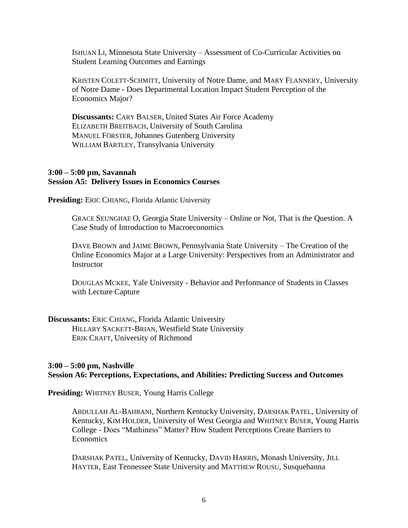ISHUAN LI, Minnesota State University – Assessment of Co-Curricular Activities on Student Learning Outcomes and Earnings

KRISTEN COLETT-SCHMITT, University of Notre Dame, and MARY FLANNERY, University of Notre Dame - Does Departmental Location Impact Student Perception of the Economics Major?

**Discussants:** CARY BALSER, United States Air Force Academy ELIZABETH BREITBACH, University of South Carolina MANUEL FÖRSTER, Johannes Gutenberg University WILLIAM BARTLEY, Transylvania University

#### **3:00 – 5:00 pm, Savannah Session A5: Delivery Issues in Economics Courses**

**Presiding:** ERIC CHIANG, Florida Atlantic University

GRACE SEUNGHAE O, Georgia State University – Online or Not, That is the Question. A Case Study of Introduction to Macroeconomics

DAVE BROWN and JAIME BROWN, Pennsylvania State University – The Creation of the Online Economics Major at a Large University: Perspectives from an Administrator and **Instructor** 

DOUGLAS MCKEE, Yale University - Behavior and Performance of Students in Classes with Lecture Capture

**Discussants:** ERIC CHIANG, Florida Atlantic University HILLARY SACKETT-BRIAN, Westfield State University ERIK CRAFT, University of Richmond

#### **3:00 – 5:00 pm, Nashville Session A6: Perceptions, Expectations, and Abilities: Predicting Success and Outcomes**

**Presiding:** WHITNEY BUSER, Young Harris College

ABDULLAH AL-BAHRANI, Northern Kentucky University, DARSHAK PATEL, University of Kentucky, KIM HOLDER, University of West Georgia and WHITNEY BUSER, Young Harris College - Does "Mathiness" Matter? How Student Perceptions Create Barriers to **Economics** 

DARSHAK PATEL, University of Kentucky, DAVID HARRIS, Monash University, JILL HAYTER, East Tennessee State University and MATTHEW ROUSU, Susquehanna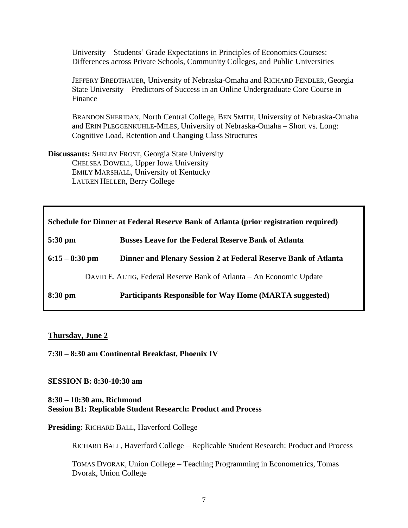University – Students' Grade Expectations in Principles of Economics Courses: Differences across Private Schools, Community Colleges, and Public Universities

JEFFERY BREDTHAUER, University of Nebraska-Omaha and RICHARD FENDLER, Georgia State University – Predictors of Success in an Online Undergraduate Core Course in Finance

BRANDON SHERIDAN, North Central College, BEN SMITH, University of Nebraska-Omaha and ERIN PLEGGENKUHLE-MILES, University of Nebraska-Omaha – Short vs. Long: Cognitive Load, Retention and Changing Class Structures

**Discussants:** SHELBY FROST, Georgia State University CHELSEA DOWELL, Upper Iowa University EMILY MARSHALL, University of Kentucky LAUREN HELLER, Berry College

| Schedule for Dinner at Federal Reserve Bank of Atlanta (prior registration required) |                                                                 |  |
|--------------------------------------------------------------------------------------|-----------------------------------------------------------------|--|
| $5:30 \text{ pm}$                                                                    | <b>Busses Leave for the Federal Reserve Bank of Atlanta</b>     |  |
| $6:15 - 8:30$ pm                                                                     | Dinner and Plenary Session 2 at Federal Reserve Bank of Atlanta |  |
| DAVID E. ALTIG, Federal Reserve Bank of Atlanta - An Economic Update                 |                                                                 |  |
| $8:30 \text{ pm}$                                                                    | Participants Responsible for Way Home (MARTA suggested)         |  |

#### **Thursday, June 2**

**7:30 – 8:30 am Continental Breakfast, Phoenix IV**

#### **SESSION B: 8:30-10:30 am**

#### **8:30 – 10:30 am, Richmond Session B1: Replicable Student Research: Product and Process**

**Presiding:** RICHARD BALL, Haverford College

RICHARD BALL, Haverford College – Replicable Student Research: Product and Process

TOMAS DVORAK, Union College – Teaching Programming in Econometrics, Tomas Dvorak, Union College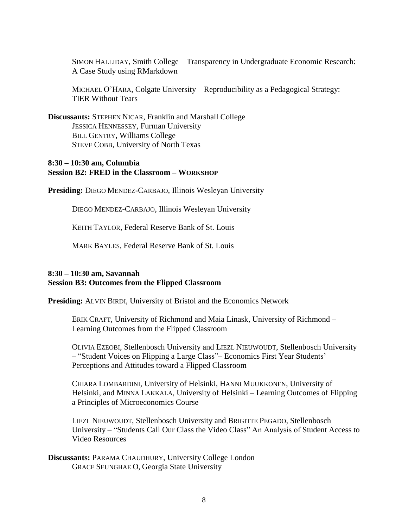SIMON HALLIDAY, Smith College – Transparency in Undergraduate Economic Research: A Case Study using RMarkdown

MICHAEL O'HARA, Colgate University – Reproducibility as a Pedagogical Strategy: TIER Without Tears

**Discussants:** STEPHEN NICAR, Franklin and Marshall College JESSICA HENNESSEY, Furman University BILL GENTRY, Williams College STEVE COBB, University of North Texas

#### **8:30 – 10:30 am, Columbia Session B2: FRED in the Classroom – WORKSHOP**

**Presiding:** DIEGO MENDEZ-CARBAJO, Illinois Wesleyan University

DIEGO MENDEZ-CARBAJO, Illinois Wesleyan University

KEITH TAYLOR, Federal Reserve Bank of St. Louis

MARK BAYLES, Federal Reserve Bank of St. Louis

#### **8:30 – 10:30 am, Savannah Session B3: Outcomes from the Flipped Classroom**

**Presiding:** ALVIN BIRDI, University of Bristol and the Economics Network

ERIK CRAFT, University of Richmond and Maia Linask, University of Richmond – Learning Outcomes from the Flipped Classroom

OLIVIA EZEOBI, Stellenbosch University and LIEZL NIEUWOUDT, Stellenbosch University – "Student Voices on Flipping a Large Class"– Economics First Year Students' Perceptions and Attitudes toward a Flipped Classroom

CHIARA LOMBARDINI, University of Helsinki, HANNI MUUKKONEN, University of Helsinki, and MINNA LAKKALA, University of Helsinki – Learning Outcomes of Flipping a Principles of Microeconomics Course

LIEZL NIEUWOUDT, Stellenbosch University and BRIGITTE PEGADO, Stellenbosch University – "Students Call Our Class the Video Class" An Analysis of Student Access to Video Resources

**Discussants:** PARAMA CHAUDHURY, University College London GRACE SEUNGHAE O, Georgia State University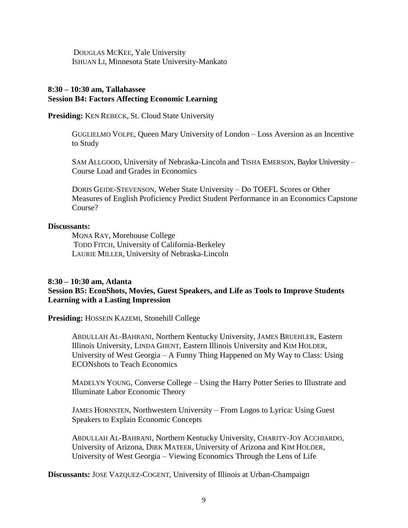DOUGLAS MCKEE, Yale University ISHUAN LI, Minnesota State University-Mankato

#### **8:30 – 10:30 am, Tallahassee Session B4: Factors Affecting Economic Learning**

**Presiding:** KEN REBECK, St. Cloud State University

GUGLIELMO VOLPE, Queen Mary University of London – Loss Aversion as an Incentive to Study

SAM ALLGOOD, University of Nebraska-Lincoln and TISHA EMERSON, Baylor University – Course Load and Grades in Economics

DORIS GEIDE-STEVENSON, Weber State University – Do TOEFL Scores or Other Measures of English Proficiency Predict Student Performance in an Economics Capstone Course?

#### **Discussants:**

MONA RAY, Morehouse College TODD FITCH, University of California-Berkeley LAURIE MILLER, University of Nebraska-Lincoln

#### **8:30 – 10:30 am, Atlanta**

**Session B5: EconShots, Movies, Guest Speakers, and Life as Tools to Improve Students Learning with a Lasting Impression**

**Presiding:** HOSSEIN KAZEMI, Stonehill College

ABDULLAH AL-BAHRANI, Northern Kentucky University, JAMES BRUEHLER, Eastern Illinois University, LINDA GHENT, Eastern Illinois University and KIM HOLDER, University of West Georgia – A Funny Thing Happened on My Way to Class: Using ECONshots to Teach Economics

MADELYN YOUNG, Converse College – Using the Harry Potter Series to Illustrate and Illuminate Labor Economic Theory

JAMES HORNSTEN, Northwestern University – From Logos to Lyrica: Using Guest Speakers to Explain Economic Concepts

ABDULLAH AL-BAHRANI, Northern Kentucky University, CHARITY-JOY ACCHIARDO, University of Arizona, DIRK MATEER, University of Arizona and KIM HOLDER, University of West Georgia – Viewing Economics Through the Lens of Life

**Discussants:** JOSE VAZQUEZ-COGENT, University of Illinois at Urban-Champaign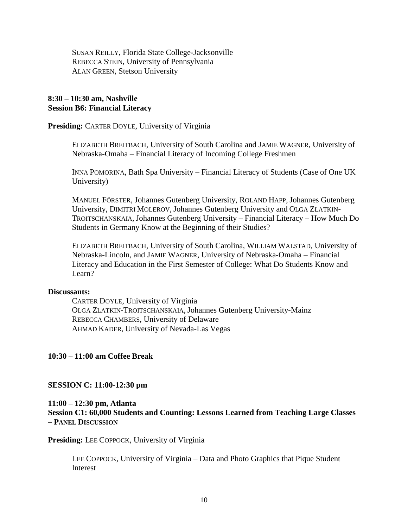SUSAN REILLY, Florida State College-Jacksonville REBECCA STEIN, University of Pennsylvania ALAN GREEN, Stetson University

#### **8:30 – 10:30 am, Nashville Session B6: Financial Literacy**

**Presiding:** CARTER DOYLE, University of Virginia

ELIZABETH BREITBACH, University of South Carolina and JAMIE WAGNER, University of Nebraska-Omaha – Financial Literacy of Incoming College Freshmen

INNA POMORINA, Bath Spa University – Financial Literacy of Students (Case of One UK University)

MANUEL FÖRSTER, Johannes Gutenberg University, ROLAND HAPP, Johannes Gutenberg University, DIMITRI MOLEROV, Johannes Gutenberg University and OLGA ZLATKIN-TROITSCHANSKAIA, Johannes Gutenberg University – Financial Literacy – How Much Do Students in Germany Know at the Beginning of their Studies?

ELIZABETH BREITBACH, University of South Carolina, WILLIAM WALSTAD, University of Nebraska-Lincoln, and JAMIE WAGNER, University of Nebraska-Omaha – Financial Literacy and Education in the First Semester of College: What Do Students Know and Learn?

#### **Discussants:**

CARTER DOYLE, University of Virginia OLGA ZLATKIN-TROITSCHANSKAIA, Johannes Gutenberg University-Mainz REBECCA CHAMBERS, University of Delaware AHMAD KADER, University of Nevada-Las Vegas

#### **10:30 – 11:00 am Coffee Break**

#### **SESSION C: 11:00-12:30 pm**

**11:00 – 12:30 pm, Atlanta Session C1: 60,000 Students and Counting: Lessons Learned from Teaching Large Classes – PANEL DISCUSSION**

**Presiding:** LEE COPPOCK, University of Virginia

LEE COPPOCK, University of Virginia – Data and Photo Graphics that Pique Student Interest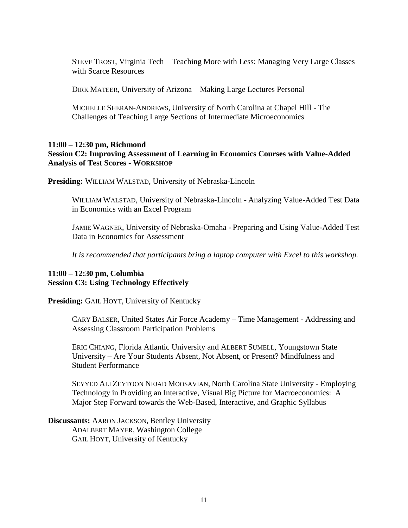STEVE TROST, Virginia Tech – Teaching More with Less: Managing Very Large Classes with Scarce Resources

DIRK MATEER, University of Arizona – Making Large Lectures Personal

MICHELLE SHERAN-ANDREWS, University of North Carolina at Chapel Hill - The Challenges of Teaching Large Sections of Intermediate Microeconomics

#### **11:00 – 12:30 pm, Richmond**

**Session C2: Improving Assessment of Learning in Economics Courses with Value-Added Analysis of Test Scores - WORKSHOP**

**Presiding:** WILLIAM WALSTAD, University of Nebraska-Lincoln

WILLIAM WALSTAD, University of Nebraska-Lincoln - Analyzing Value-Added Test Data in Economics with an Excel Program

JAMIE WAGNER, University of Nebraska-Omaha - Preparing and Using Value-Added Test Data in Economics for Assessment

*It is recommended that participants bring a laptop computer with Excel to this workshop.*

#### **11:00 – 12:30 pm, Columbia Session C3: Using Technology Effectively**

**Presiding:** GAIL HOYT, University of Kentucky

CARY BALSER, United States Air Force Academy – Time Management - Addressing and Assessing Classroom Participation Problems

ERIC CHIANG, Florida Atlantic University and ALBERT SUMELL, Youngstown State University – Are Your Students Absent, Not Absent, or Present? Mindfulness and Student Performance

SEYYED ALI ZEYTOON NEJAD MOOSAVIAN, North Carolina State University - Employing Technology in Providing an Interactive, Visual Big Picture for Macroeconomics: A Major Step Forward towards the Web-Based, Interactive, and Graphic Syllabus

**Discussants:** AARON JACKSON, Bentley University ADALBERT MAYER, Washington College GAIL HOYT, University of Kentucky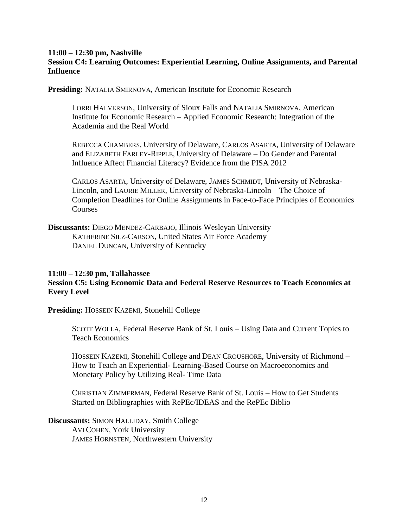#### **11:00 – 12:30 pm, Nashville Session C4: Learning Outcomes: Experiential Learning, Online Assignments, and Parental Influence**

**Presiding:** NATALIA SMIRNOVA, American Institute for Economic Research

LORRI HALVERSON, University of Sioux Falls and NATALIA SMIRNOVA, American Institute for Economic Research – Applied Economic Research: Integration of the Academia and the Real World

REBECCA CHAMBERS, University of Delaware, CARLOS ASARTA, University of Delaware and ELIZABETH FARLEY-RIPPLE, University of Delaware – Do Gender and Parental Influence Affect Financial Literacy? Evidence from the PISA 2012

CARLOS ASARTA, University of Delaware, JAMES SCHMIDT, University of Nebraska-Lincoln, and LAURIE MILLER, University of Nebraska-Lincoln – The Choice of Completion Deadlines for Online Assignments in Face-to-Face Principles of Economics Courses

**Discussants:** DIEGO MENDEZ-CARBAJO, Illinois Wesleyan University KATHERINE SILZ-CARSON, United States Air Force Academy DANIEL DUNCAN, University of Kentucky

#### **11:00 – 12:30 pm, Tallahassee**

#### **Session C5: Using Economic Data and Federal Reserve Resources to Teach Economics at Every Level**

**Presiding:** HOSSEIN KAZEMI, Stonehill College

SCOTT WOLLA, Federal Reserve Bank of St. Louis – Using Data and Current Topics to Teach Economics

HOSSEIN KAZEMI, Stonehill College and DEAN CROUSHORE, University of Richmond – How to Teach an Experiential- Learning-Based Course on Macroeconomics and Monetary Policy by Utilizing Real- Time Data

CHRISTIAN ZIMMERMAN, Federal Reserve Bank of St. Louis – How to Get Students Started on Bibliographies with RePEc/IDEAS and the RePEc Biblio

**Discussants:** SIMON HALLIDAY, Smith College AVI COHEN, York University JAMES HORNSTEN, Northwestern University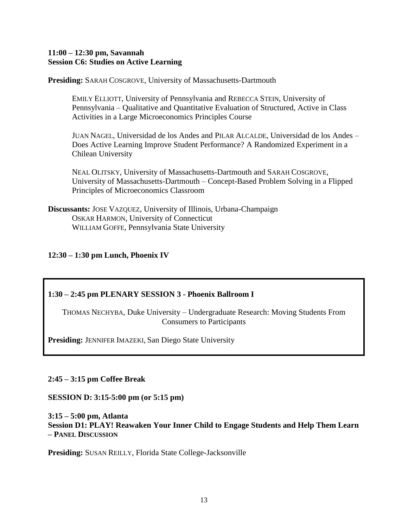#### **11:00 – 12:30 pm, Savannah Session C6: Studies on Active Learning**

**Presiding:** SARAH COSGROVE, University of Massachusetts-Dartmouth

EMILY ELLIOTT, University of Pennsylvania and REBECCA STEIN, University of Pennsylvania – Qualitative and Quantitative Evaluation of Structured, Active in Class Activities in a Large Microeconomics Principles Course

JUAN NAGEL, Universidad de los Andes and PILAR ALCALDE, Universidad de los Andes – Does Active Learning Improve Student Performance? A Randomized Experiment in a Chilean University

NEAL OLITSKY, University of Massachusetts-Dartmouth and SARAH COSGROVE, University of Massachusetts-Dartmouth – Concept-Based Problem Solving in a Flipped Principles of Microeconomics Classroom

**Discussants:** JOSE VAZQUEZ, University of Illinois, Urbana-Champaign OSKAR HARMON, University of Connecticut WILLIAM GOFFE, Pennsylvania State University

#### **12:30 – 1:30 pm Lunch, Phoenix IV**

#### **1:30 – 2:45 pm PLENARY SESSION 3 - Phoenix Ballroom I**

THOMAS NECHYBA, Duke University – Undergraduate Research: Moving Students From Consumers to Participants

**Presiding:** JENNIFER IMAZEKI, San Diego State University

**2:45 – 3:15 pm Coffee Break**

**SESSION D: 3:15-5:00 pm (or 5:15 pm)**

**3:15 – 5:00 pm, Atlanta Session D1: PLAY! Reawaken Your Inner Child to Engage Students and Help Them Learn – PANEL DISCUSSION**

**Presiding:** SUSAN REILLY, Florida State College-Jacksonville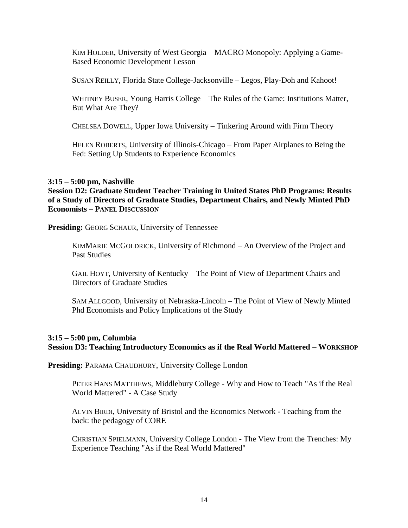KIM HOLDER, University of West Georgia – MACRO Monopoly: Applying a Game-Based Economic Development Lesson

SUSAN REILLY, Florida State College-Jacksonville – Legos, Play-Doh and Kahoot!

WHITNEY BUSER, Young Harris College – The Rules of the Game: Institutions Matter, But What Are They?

CHELSEA DOWELL, Upper Iowa University – Tinkering Around with Firm Theory

HELEN ROBERTS, University of Illinois-Chicago – From Paper Airplanes to Being the Fed: Setting Up Students to Experience Economics

#### **3:15 – 5:00 pm, Nashville**

**Session D2: Graduate Student Teacher Training in United States PhD Programs: Results of a Study of Directors of Graduate Studies, Department Chairs, and Newly Minted PhD Economists – PANEL DISCUSSION**

**Presiding:** GEORG SCHAUR, University of Tennessee

KIMMARIE MCGOLDRICK, University of Richmond – An Overview of the Project and Past Studies

GAIL HOYT, University of Kentucky – The Point of View of Department Chairs and Directors of Graduate Studies

SAM ALLGOOD, University of Nebraska-Lincoln – The Point of View of Newly Minted Phd Economists and Policy Implications of the Study

#### **3:15 – 5:00 pm, Columbia**

#### **Session D3: Teaching Introductory Economics as if the Real World Mattered – WORKSHOP**

**Presiding:** PARAMA CHAUDHURY, University College London

PETER HANS MATTHEWS, Middlebury College - Why and How to Teach "As if the Real World Mattered" - A Case Study

ALVIN BIRDI, University of Bristol and the Economics Network - Teaching from the back: the pedagogy of CORE

CHRISTIAN SPIELMANN, University College London - The View from the Trenches: My Experience Teaching "As if the Real World Mattered"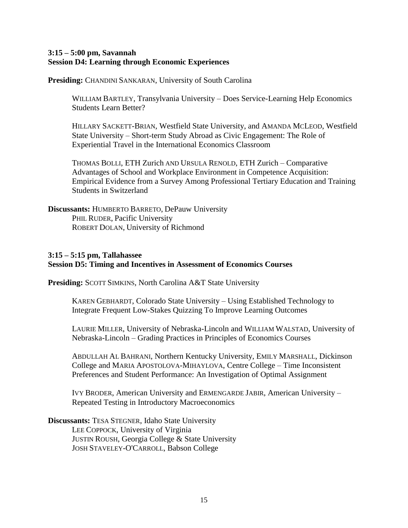#### **3:15 – 5:00 pm, Savannah Session D4: Learning through Economic Experiences**

Presiding: CHANDINI SANKARAN, University of South Carolina

WILLIAM BARTLEY, Transylvania University – Does Service-Learning Help Economics Students Learn Better?

HILLARY SACKETT-BRIAN, Westfield State University, and AMANDA MCLEOD, Westfield State University – Short-term Study Abroad as Civic Engagement: The Role of Experiential Travel in the International Economics Classroom

THOMAS BOLLI, ETH Zurich AND URSULA RENOLD, ETH Zurich – Comparative Advantages of School and Workplace Environment in Competence Acquisition: Empirical Evidence from a Survey Among Professional Tertiary Education and Training Students in Switzerland

**Discussants:** HUMBERTO BARRETO, DePauw University PHIL RUDER, Pacific University ROBERT DOLAN, University of Richmond

#### **3:15 – 5:15 pm, Tallahassee Session D5: Timing and Incentives in Assessment of Economics Courses**

**Presiding:** SCOTT SIMKINS, North Carolina A&T State University

KAREN GEBHARDT, Colorado State University – Using Established Technology to Integrate Frequent Low-Stakes Quizzing To Improve Learning Outcomes

LAURIE MILLER, University of Nebraska-Lincoln and WILLIAM WALSTAD, University of Nebraska-Lincoln – Grading Practices in Principles of Economics Courses

ABDULLAH AL BAHRANI, Northern Kentucky University, EMILY MARSHALL, Dickinson College and MARIA APOSTOLOVA-MIHAYLOVA, Centre College – Time Inconsistent Preferences and Student Performance: An Investigation of Optimal Assignment

IVY BRODER, American University and ERMENGARDE JABIR, American University – Repeated Testing in Introductory Macroeconomics

**Discussants:** TESA STEGNER, Idaho State University LEE COPPOCK, University of Virginia JUSTIN ROUSH, Georgia College & State University JOSH STAVELEY-O'CARROLL, Babson College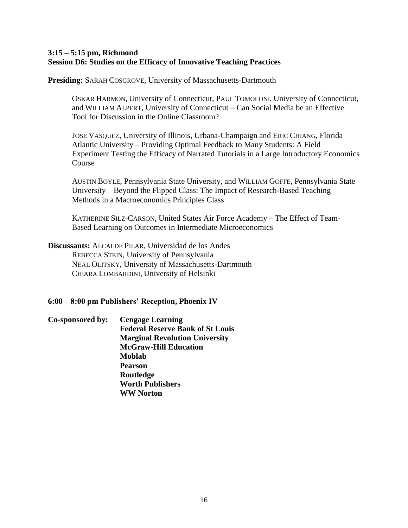#### **3:15 – 5:15 pm, Richmond Session D6: Studies on the Efficacy of Innovative Teaching Practices**

**Presiding:** SARAH COSGROVE, University of Massachusetts-Dartmouth

OSKAR HARMON, University of Connecticut, PAUL TOMOLONI, University of Connecticut, and WILLIAM ALPERT, University of Connecticut – Can Social Media be an Effective Tool for Discussion in the Online Classroom?

JOSE VASQUEZ, University of Illinois, Urbana-Champaign and ERIC CHIANG, Florida Atlantic University – Providing Optimal Feedback to Many Students: A Field Experiment Testing the Efficacy of Narrated Tutorials in a Large Introductory Economics Course

AUSTIN BOYLE, Pennsylvania State University, and WILLIAM GOFFE, Pennsylvania State University – Beyond the Flipped Class: The Impact of Research-Based Teaching Methods in a Macroeconomics Principles Class

KATHERINE SILZ-CARSON, United States Air Force Academy – The Effect of Team-Based Learning on Outcomes in Intermediate Microeconomics

**Discussants:** ALCALDE PILAR, Universidad de los Andes REBECCA STEIN, University of Pennsylvania NEAL OLITSKY, University of Massachusetts-Dartmouth CHIARA LOMBARDINI, University of Helsinki

#### **6:00 – 8:00 pm Publishers' Reception, Phoenix IV**

**Co-sponsored by: Cengage Learning Federal Reserve Bank of St Louis Marginal Revolution University McGraw-Hill Education Moblab Pearson Routledge Worth Publishers WW Norton**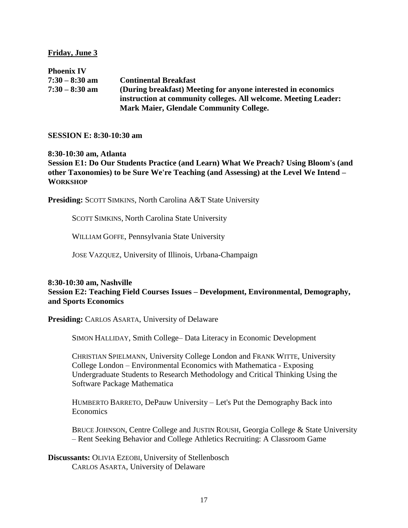#### **Friday, June 3**

**Phoenix IV 7:30 – 8:30 am Continental Breakfast 7:30 – 8:30 am (During breakfast) Meeting for anyone interested in economics instruction at community colleges. All welcome. Meeting Leader: Mark Maier, Glendale Community College.** 

#### **SESSION E: 8:30-10:30 am**

#### **8:30-10:30 am, Atlanta Session E1: Do Our Students Practice (and Learn) What We Preach? Using Bloom's (and other Taxonomies) to be Sure We're Teaching (and Assessing) at the Level We Intend – WORKSHOP**

**Presiding:** SCOTT SIMKINS, North Carolina A&T State University

SCOTT SIMKINS, North Carolina State University

WILLIAM GOFFE, Pennsylvania State University

JOSE VAZQUEZ, University of Illinois, Urbana-Champaign

#### **8:30-10:30 am, Nashville Session E2: Teaching Field Courses Issues – Development, Environmental, Demography, and Sports Economics**

**Presiding:** CARLOS ASARTA, University of Delaware

SIMON HALLIDAY, Smith College– Data Literacy in Economic Development

CHRISTIAN SPIELMANN, University College London and FRANK WITTE, University College London – Environmental Economics with Mathematica - Exposing Undergraduate Students to Research Methodology and Critical Thinking Using the Software Package Mathematica

HUMBERTO BARRETO, DePauw University – Let's Put the Demography Back into Economics

BRUCE JOHNSON, Centre College and JUSTIN ROUSH, Georgia College & State University – Rent Seeking Behavior and College Athletics Recruiting: A Classroom Game

**Discussants:** OLIVIA EZEOBI, University of Stellenbosch CARLOS ASARTA, University of Delaware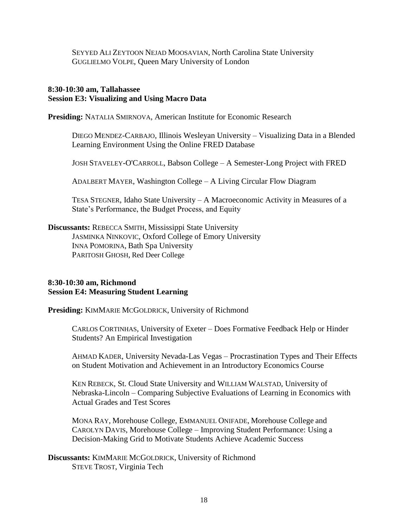SEYYED ALI ZEYTOON NEJAD MOOSAVIAN, North Carolina State University GUGLIELMO VOLPE, Queen Mary University of London

#### **8:30-10:30 am, Tallahassee Session E3: Visualizing and Using Macro Data**

**Presiding:** NATALIA SMIRNOVA, American Institute for Economic Research

DIEGO MENDEZ-CARBAJO, Illinois Wesleyan University – Visualizing Data in a Blended Learning Environment Using the Online FRED Database

JOSH STAVELEY-O'CARROLL, Babson College – A Semester-Long Project with FRED

ADALBERT MAYER, Washington College – A Living Circular Flow Diagram

TESA STEGNER, Idaho State University – A Macroeconomic Activity in Measures of a State's Performance, the Budget Process, and Equity

**Discussants:** REBECCA SMITH, Mississippi State University JASMINKA NINKOVIC, Oxford College of Emory University INNA POMORINA, Bath Spa University PARITOSH GHOSH, Red Deer College

#### **8:30-10:30 am, Richmond Session E4: Measuring Student Learning**

**Presiding:** KIMMARIE MCGOLDRICK, University of Richmond

CARLOS CORTINHAS, University of Exeter – Does Formative Feedback Help or Hinder Students? An Empirical Investigation

AHMAD KADER, University Nevada-Las Vegas – Procrastination Types and Their Effects on Student Motivation and Achievement in an Introductory Economics Course

KEN REBECK, St. Cloud State University and WILLIAM WALSTAD, University of Nebraska-Lincoln – Comparing Subjective Evaluations of Learning in Economics with Actual Grades and Test Scores

MONA RAY, Morehouse College, EMMANUEL ONIFADE, Morehouse College and CAROLYN DAVIS, Morehouse College – Improving Student Performance: Using a Decision-Making Grid to Motivate Students Achieve Academic Success

**Discussants:** KIMMARIE MCGOLDRICK, University of Richmond STEVE TROST, Virginia Tech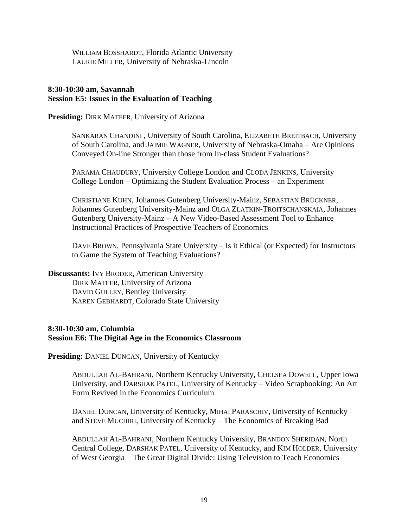WILLIAM BOSSHARDT, Florida Atlantic University LAURIE MILLER, University of Nebraska-Lincoln

#### **8:30-10:30 am, Savannah Session E5: Issues in the Evaluation of Teaching**

**Presiding:** DIRK MATEER, University of Arizona

SANKARAN CHANDINI , University of South Carolina, ELIZABETH BREITBACH, University of South Carolina, and JAIMIE WAGNER, University of Nebraska-Omaha – Are Opinions Conveyed On-line Stronger than those from In-class Student Evaluations?

PARAMA CHAUDURY, University College London and CLODA JENKINS, University College London – Optimizing the Student Evaluation Process – an Experiment

CHRISTIANE KUHN, Johannes Gutenberg University-Mainz, SEBASTIAN BRǕCKNER, Johannes Gutenberg University-Mainz and OLGA ZLATKIN-TROITSCHANSKAIA, Johannes Gutenberg University-Mainz – A New Video-Based Assessment Tool to Enhance Instructional Practices of Prospective Teachers of Economics

DAVE BROWN, Pennsylvania State University – Is it Ethical (or Expected) for Instructors to Game the System of Teaching Evaluations?

**Discussants:** IVY BRODER, American University DIRK MATEER, University of Arizona DAVID GULLEY, Bentley University KAREN GEBHARDT, Colorado State University

#### **8:30-10:30 am, Columbia Session E6: The Digital Age in the Economics Classroom**

**Presiding:** DANIEL DUNCAN, University of Kentucky

ABDULLAH AL-BAHRANI, Northern Kentucky University, CHELSEA DOWELL, Upper Iowa University, and DARSHAK PATEL, University of Kentucky – Video Scrapbooking: An Art Form Revived in the Economics Curriculum

DANIEL DUNCAN, University of Kentucky, MIHAI PARASCHIV, University of Kentucky and STEVE MUCHIRI, University of Kentucky – The Economics of Breaking Bad

ABDULLAH AL-BAHRANI, Northern Kentucky University, BRANDON SHERIDAN, North Central College, DARSHAK PATEL, University of Kentucky, and KIM HOLDER, University of West Georgia – The Great Digital Divide: Using Television to Teach Economics